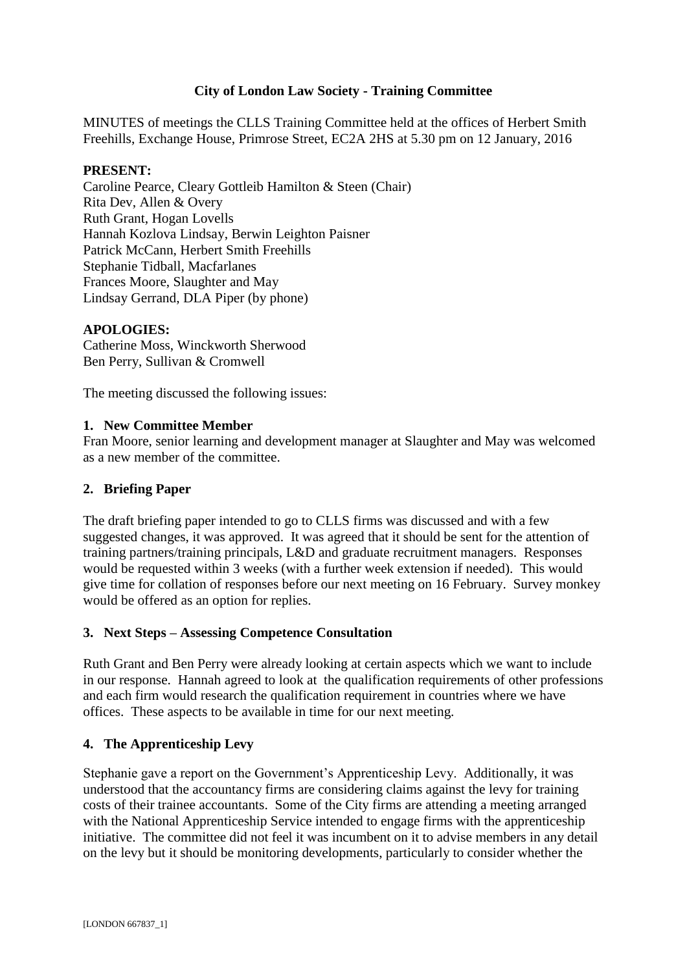# **City of London Law Society - Training Committee**

MINUTES of meetings the CLLS Training Committee held at the offices of Herbert Smith Freehills, Exchange House, Primrose Street, EC2A 2HS at 5.30 pm on 12 January, 2016

### **PRESENT:**

Caroline Pearce, Cleary Gottleib Hamilton & Steen (Chair) Rita Dev, Allen & Overy Ruth Grant, Hogan Lovells Hannah Kozlova Lindsay, Berwin Leighton Paisner Patrick McCann, Herbert Smith Freehills Stephanie Tidball, Macfarlanes Frances Moore, Slaughter and May Lindsay Gerrand, DLA Piper (by phone)

## **APOLOGIES:**

Catherine Moss, Winckworth Sherwood Ben Perry, Sullivan & Cromwell

The meeting discussed the following issues:

### **1. New Committee Member**

Fran Moore, senior learning and development manager at Slaughter and May was welcomed as a new member of the committee.

## **2. Briefing Paper**

The draft briefing paper intended to go to CLLS firms was discussed and with a few suggested changes, it was approved. It was agreed that it should be sent for the attention of training partners/training principals, L&D and graduate recruitment managers. Responses would be requested within 3 weeks (with a further week extension if needed). This would give time for collation of responses before our next meeting on 16 February. Survey monkey would be offered as an option for replies.

## **3. Next Steps – Assessing Competence Consultation**

Ruth Grant and Ben Perry were already looking at certain aspects which we want to include in our response. Hannah agreed to look at the qualification requirements of other professions and each firm would research the qualification requirement in countries where we have offices. These aspects to be available in time for our next meeting.

## **4. The Apprenticeship Levy**

Stephanie gave a report on the Government's Apprenticeship Levy. Additionally, it was understood that the accountancy firms are considering claims against the levy for training costs of their trainee accountants. Some of the City firms are attending a meeting arranged with the National Apprenticeship Service intended to engage firms with the apprenticeship initiative. The committee did not feel it was incumbent on it to advise members in any detail on the levy but it should be monitoring developments, particularly to consider whether the